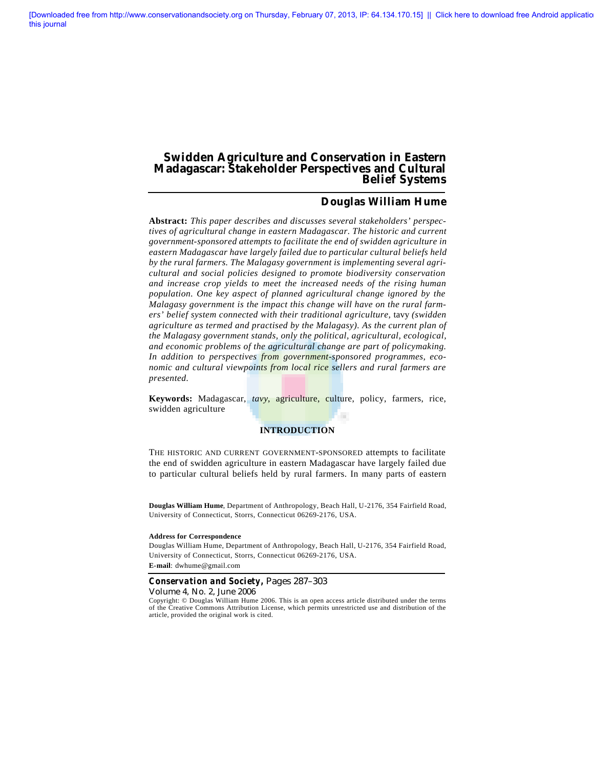# **Swidden Agriculture and Conservation in Eastern Madagascar: Stakeholder Perspectives and Cultural Belief Systems**

# **Douglas William Hume**

**Abstract:** *This paper describes and discusses several stakeholders' perspectives of agricultural change in eastern Madagascar. The historic and current government-sponsored attempts to facilitate the end of swidden agriculture in eastern Madagascar have largely failed due to particular cultural beliefs held by the rural farmers. The Malagasy government is implementing several agricultural and social policies designed to promote biodiversity conservation and increase crop yields to meet the increased needs of the rising human population. One key aspect of planned agricultural change ignored by the Malagasy government is the impact this change will have on the rural farmers' belief system connected with their traditional agriculture,* tavy *(swidden agriculture as termed and practised by the Malagasy). As the current plan of the Malagasy government stands, only the political, agricultural, ecological, and economic problems of the agricultural change are part of policymaking. In addition to perspectives from government-sponsored programmes, economic and cultural viewpoints from local rice sellers and rural farmers are presented.*

**Keywords:** Madagascar, *tavy*, agriculture, culture, policy, farmers, rice, swidden agriculture

### **INTRODUCTION**

THE HISTORIC AND CURRENT GOVERNMENT-SPONSORED attempts to facilitate the end of swidden agriculture in eastern Madagascar have largely failed due to particular cultural beliefs held by rural farmers. In many parts of eastern

**Douglas William Hume**, Department of Anthropology, Beach Hall, U-2176, 354 Fairfield Road, University of Connecticut, Storrs, Connecticut 06269-2176, USA.

#### **Address for Correspondence**

Douglas William Hume, Department of Anthropology, Beach Hall, U-2176, 354 Fairfield Road, University of Connecticut, Storrs, Connecticut 06269-2176, USA. **E-mail**: dwhume@gmail.com

#### *Conservation and Society,* Pages 287–303

Volume 4, No. 2, June 2006

Copyright: © Douglas William Hume 2006. This is an open access article distributed under the terms of the Creative Commons Attribution License, which permits unrestricted use and distribution of the article, provided the original work is cited.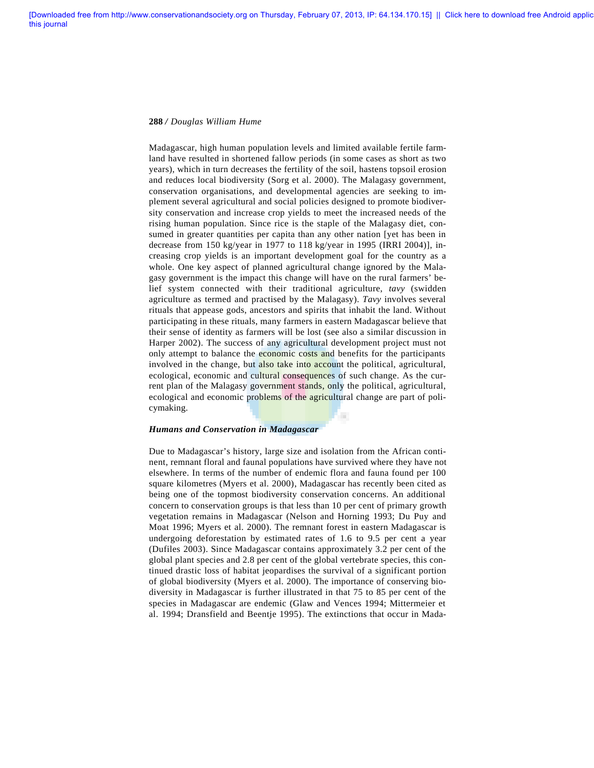Madagascar, high human population levels and limited available fertile farmland have resulted in shortened fallow periods (in some cases as short as two years), which in turn decreases the fertility of the soil, hastens topsoil erosion and reduces local biodiversity (Sorg et al. 2000). The Malagasy government, conservation organisations, and developmental agencies are seeking to implement several agricultural and social policies designed to promote biodiversity conservation and increase crop yields to meet the increased needs of the rising human population. Since rice is the staple of the Malagasy diet, consumed in greater quantities per capita than any other nation [yet has been in decrease from 150 kg/year in 1977 to 118 kg/year in 1995 (IRRI 2004)], increasing crop yields is an important development goal for the country as a whole. One key aspect of planned agricultural change ignored by the Malagasy government is the impact this change will have on the rural farmers' belief system connected with their traditional agriculture, *tavy* (swidden agriculture as termed and practised by the Malagasy). *Tavy* involves several rituals that appease gods, ancestors and spirits that inhabit the land. Without participating in these rituals, many farmers in eastern Madagascar believe that their sense of identity as farmers will be lost (see also a similar discussion in Harper 2002). The success of any agricultural development project must not only attempt to balance the economic costs and benefits for the participants involved in the change, but also take into account the political, agricultural, ecological, economic and cultural consequences of such change. As the current plan of the Malagasy government stands, only the political, agricultural, ecological and economic problems of the agricultural change are part of policymaking. ٠

#### *Humans and Conservation in Madagascar*

Due to Madagascar's history, large size and isolation from the African continent, remnant floral and faunal populations have survived where they have not elsewhere. In terms of the number of endemic flora and fauna found per 100 square kilometres (Myers et al. 2000), Madagascar has recently been cited as being one of the topmost biodiversity conservation concerns. An additional concern to conservation groups is that less than 10 per cent of primary growth vegetation remains in Madagascar (Nelson and Horning 1993; Du Puy and Moat 1996; Myers et al. 2000). The remnant forest in eastern Madagascar is undergoing deforestation by estimated rates of 1.6 to 9.5 per cent a year (Dufiles 2003). Since Madagascar contains approximately 3.2 per cent of the global plant species and 2.8 per cent of the global vertebrate species, this continued drastic loss of habitat jeopardises the survival of a significant portion of global biodiversity (Myers et al. 2000). The importance of conserving biodiversity in Madagascar is further illustrated in that 75 to 85 per cent of the species in Madagascar are endemic (Glaw and Vences 1994; Mittermeier et al. 1994; Dransfield and Beentje 1995). The extinctions that occur in Mada-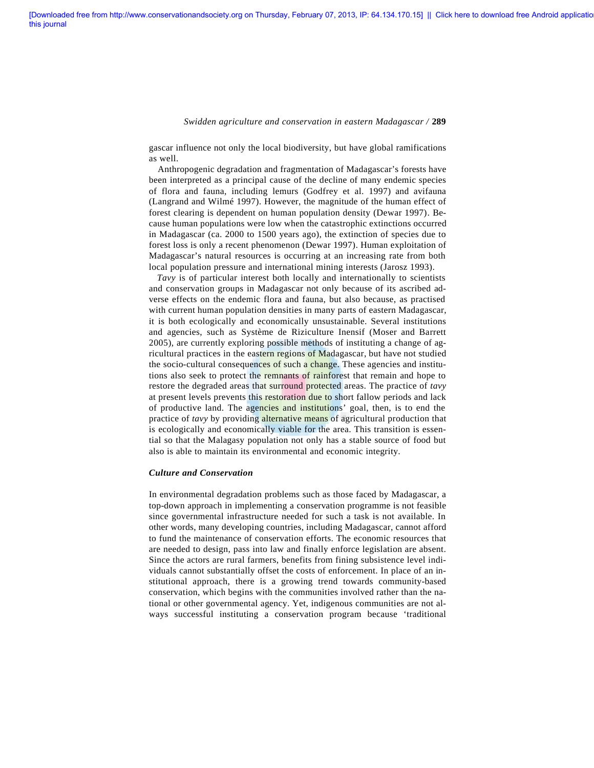gascar influence not only the local biodiversity, but have global ramifications as well.

Anthropogenic degradation and fragmentation of Madagascar's forests have been interpreted as a principal cause of the decline of many endemic species of flora and fauna, including lemurs (Godfrey et al. 1997) and avifauna (Langrand and Wilmé 1997). However, the magnitude of the human effect of forest clearing is dependent on human population density (Dewar 1997). Because human populations were low when the catastrophic extinctions occurred in Madagascar (ca. 2000 to 1500 years ago), the extinction of species due to forest loss is only a recent phenomenon (Dewar 1997). Human exploitation of Madagascar's natural resources is occurring at an increasing rate from both local population pressure and international mining interests (Jarosz 1993).

*Tavy* is of particular interest both locally and internationally to scientists and conservation groups in Madagascar not only because of its ascribed adverse effects on the endemic flora and fauna, but also because, as practised with current human population densities in many parts of eastern Madagascar, it is both ecologically and economically unsustainable. Several institutions and agencies, such as Système de Riziculture Inensif (Moser and Barrett 2005), are currently exploring possible methods of instituting a change of agricultural practices in the eastern regions of Madagascar, but have not studied the socio-cultural consequences of such a change. These agencies and institutions also seek to protect the remnants of rainforest that remain and hope to restore the degraded areas that surround protected areas. The practice of *tavy* at present levels prevents this restoration due to short fallow periods and lack of productive land. The agencies and institutions' goal, then, is to end the practice of *tavy* by providing alternative means of agricultural production that is ecologically and economically viable for the area. This transition is essential so that the Malagasy population not only has a stable source of food but also is able to maintain its environmental and economic integrity.

### *Culture and Conservation*

In environmental degradation problems such as those faced by Madagascar, a top-down approach in implementing a conservation programme is not feasible since governmental infrastructure needed for such a task is not available. In other words, many developing countries, including Madagascar, cannot afford to fund the maintenance of conservation efforts. The economic resources that are needed to design, pass into law and finally enforce legislation are absent. Since the actors are rural farmers, benefits from fining subsistence level individuals cannot substantially offset the costs of enforcement. In place of an institutional approach, there is a growing trend towards community-based conservation, which begins with the communities involved rather than the national or other governmental agency. Yet, indigenous communities are not always successful instituting a conservation program because 'traditional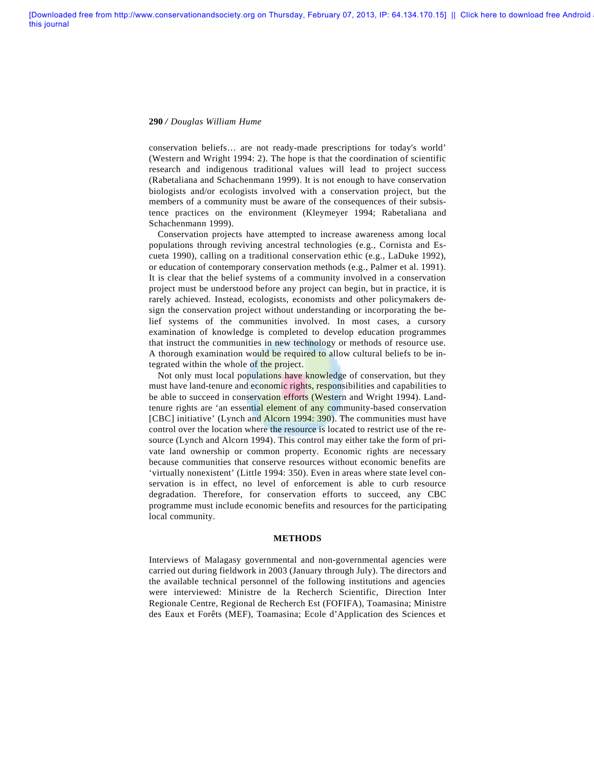conservation beliefs… are not ready-made prescriptions for today's world' (Western and Wright 1994: 2). The hope is that the coordination of scientific research and indigenous traditional values will lead to project success (Rabetaliana and Schachenmann 1999). It is not enough to have conservation biologists and/or ecologists involved with a conservation project, but the members of a community must be aware of the consequences of their subsistence practices on the environment (Kleymeyer 1994; Rabetaliana and Schachenmann 1999).

Conservation projects have attempted to increase awareness among local populations through reviving ancestral technologies (e.g., Cornista and Escueta 1990), calling on a traditional conservation ethic (e.g., LaDuke 1992), or education of contemporary conservation methods (e.g., Palmer et al. 1991). It is clear that the belief systems of a community involved in a conservation project must be understood before any project can begin, but in practice, it is rarely achieved. Instead, ecologists, economists and other policymakers design the conservation project without understanding or incorporating the belief systems of the communities involved. In most cases, a cursory examination of knowledge is completed to develop education programmes that instruct the communities in new technology or methods of resource use. A thorough examination would be required to allow cultural beliefs to be integrated within the whole of the project.

Not only must local populations have knowledge of conservation, but they must have land-tenure and economic rights, responsibilities and capabilities to be able to succeed in conservation efforts (Western and Wright 1994). Landtenure rights are 'an essential element of any community-based conservation [CBC] initiative' (Lynch and Alcorn 1994: 390). The communities must have control over the location where the resource is located to restrict use of the resource (Lynch and Alcorn 1994). This control may either take the form of private land ownership or common property. Economic rights are necessary because communities that conserve resources without economic benefits are 'virtually nonexistent' (Little 1994: 350). Even in areas where state level conservation is in effect, no level of enforcement is able to curb resource degradation. Therefore, for conservation efforts to succeed, any CBC programme must include economic benefits and resources for the participating local community.

### **METHODS**

Interviews of Malagasy governmental and non-governmental agencies were carried out during fieldwork in 2003 (January through July). The directors and the available technical personnel of the following institutions and agencies were interviewed: Ministre de la Recherch Scientific, Direction Inter Regionale Centre, Regional de Recherch Est (FOFIFA), Toamasina; Ministre des Eaux et Forêts (MEF), Toamasina; Ecole d'Application des Sciences et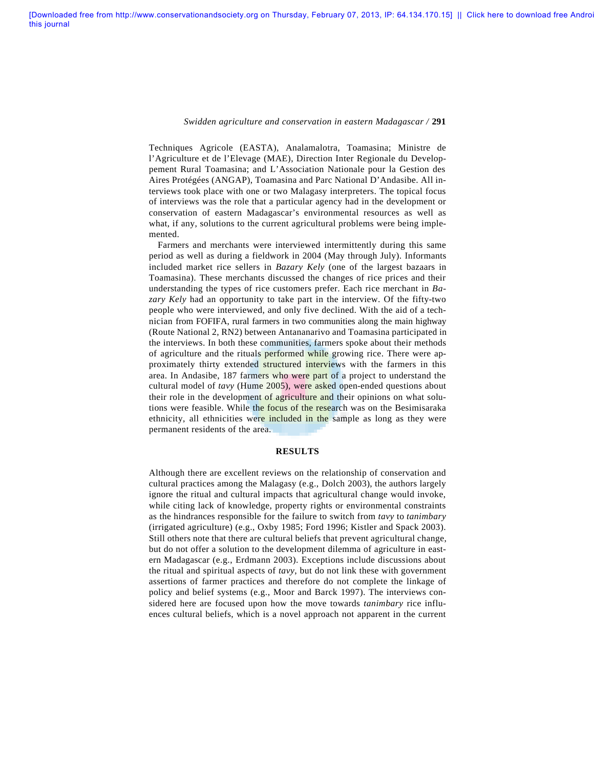Techniques Agricole (EASTA), Analamalotra, Toamasina; Ministre de l'Agriculture et de l'Elevage (MAE), Direction Inter Regionale du Developpement Rural Toamasina; and L'Association Nationale pour la Gestion des Aires Protégées (ANGAP), Toamasina and Parc National D'Andasibe. All interviews took place with one or two Malagasy interpreters. The topical focus of interviews was the role that a particular agency had in the development or conservation of eastern Madagascar's environmental resources as well as what, if any, solutions to the current agricultural problems were being implemented.

Farmers and merchants were interviewed intermittently during this same period as well as during a fieldwork in 2004 (May through July). Informants included market rice sellers in *Bazary Kely* (one of the largest bazaars in Toamasina). These merchants discussed the changes of rice prices and their understanding the types of rice customers prefer. Each rice merchant in *Bazary Kely* had an opportunity to take part in the interview. Of the fifty-two people who were interviewed, and only five declined. With the aid of a technician from FOFIFA, rural farmers in two communities along the main highway (Route National 2, RN2) between Antananarivo and Toamasina participated in the interviews. In both these communities, farmers spoke about their methods of agriculture and the rituals **performed** while growing rice. There were approximately thirty extended structured interviews with the farmers in this area. In Andasibe, 187 farmers who were part of a project to understand the cultural model of *tavy* (Hume 2005), were asked open-ended questions about their role in the development of agriculture and their opinions on what solutions were feasible. While the focus of the research was on the Besimisaraka ethnicity, all ethnicities were included in the sample as long as they were permanent residents of the area.

### **RESULTS**

Although there are excellent reviews on the relationship of conservation and cultural practices among the Malagasy (e.g., Dolch 2003), the authors largely ignore the ritual and cultural impacts that agricultural change would invoke, while citing lack of knowledge, property rights or environmental constraints as the hindrances responsible for the failure to switch from *tavy* to *tanimbary* (irrigated agriculture) (e.g., Oxby 1985; Ford 1996; Kistler and Spack 2003). Still others note that there are cultural beliefs that prevent agricultural change, but do not offer a solution to the development dilemma of agriculture in eastern Madagascar (e.g., Erdmann 2003). Exceptions include discussions about the ritual and spiritual aspects of *tavy*, but do not link these with government assertions of farmer practices and therefore do not complete the linkage of policy and belief systems (e.g., Moor and Barck 1997). The interviews considered here are focused upon how the move towards *tanimbary* rice influences cultural beliefs, which is a novel approach not apparent in the current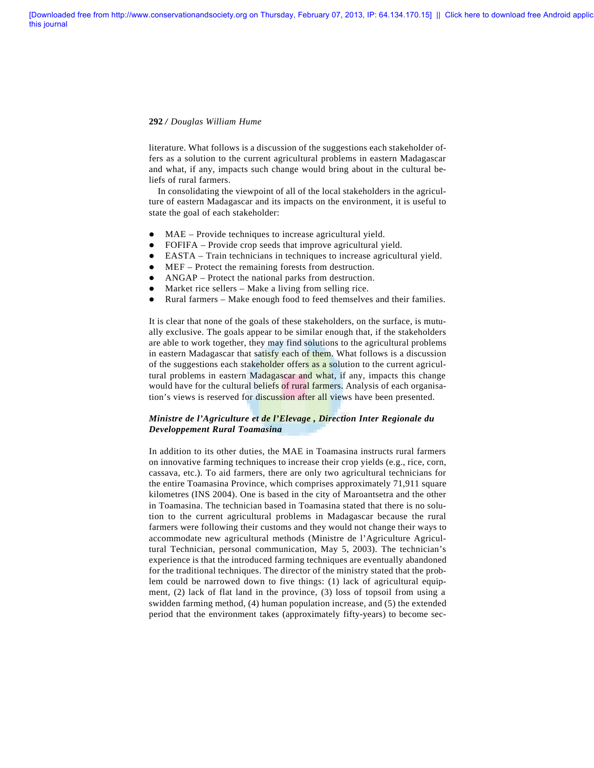literature. What follows is a discussion of the suggestions each stakeholder offers as a solution to the current agricultural problems in eastern Madagascar and what, if any, impacts such change would bring about in the cultural beliefs of rural farmers.

In consolidating the viewpoint of all of the local stakeholders in the agriculture of eastern Madagascar and its impacts on the environment, it is useful to state the goal of each stakeholder:

- MAE Provide techniques to increase agricultural yield.
- FOFIFA Provide crop seeds that improve agricultural yield.
- l EASTA Train technicians in techniques to increase agricultural yield.
- MEF Protect the remaining forests from destruction.
- ANGAP Protect the national parks from destruction.
- $\bullet$  Market rice sellers Make a living from selling rice.
- Rural farmers Make enough food to feed themselves and their families.

It is clear that none of the goals of these stakeholders, on the surface, is mutually exclusive. The goals appear to be similar enough that, if the stakeholders are able to work together, they may find solutions to the agricultural problems in eastern Madagascar that satisfy each of them. What follows is a discussion of the suggestions each stakeholder offers as a solution to the current agricultural problems in eastern Madagascar and what, if any, impacts this change would have for the cultural beliefs of rural farmers. Analysis of each organisation's views is reserved for discussion after all views have been presented.

# *Ministre de l'Agriculture et de l'Elevage , Direction Inter Regionale du Developpement Rural Toamasina*

In addition to its other duties, the MAE in Toamasina instructs rural farmers on innovative farming techniques to increase their crop yields (e.g., rice, corn, cassava, etc.). To aid farmers, there are only two agricultural technicians for the entire Toamasina Province, which comprises approximately 71,911 square kilometres (INS 2004). One is based in the city of Maroantsetra and the other in Toamasina. The technician based in Toamasina stated that there is no solution to the current agricultural problems in Madagascar because the rural farmers were following their customs and they would not change their ways to accommodate new agricultural methods (Ministre de l'Agriculture Agricultural Technician, personal communication, May 5, 2003). The technician's experience is that the introduced farming techniques are eventually abandoned for the traditional techniques. The director of the ministry stated that the problem could be narrowed down to five things: (1) lack of agricultural equipment, (2) lack of flat land in the province, (3) loss of topsoil from using a swidden farming method, (4) human population increase, and (5) the extended period that the environment takes (approximately fifty-years) to become sec-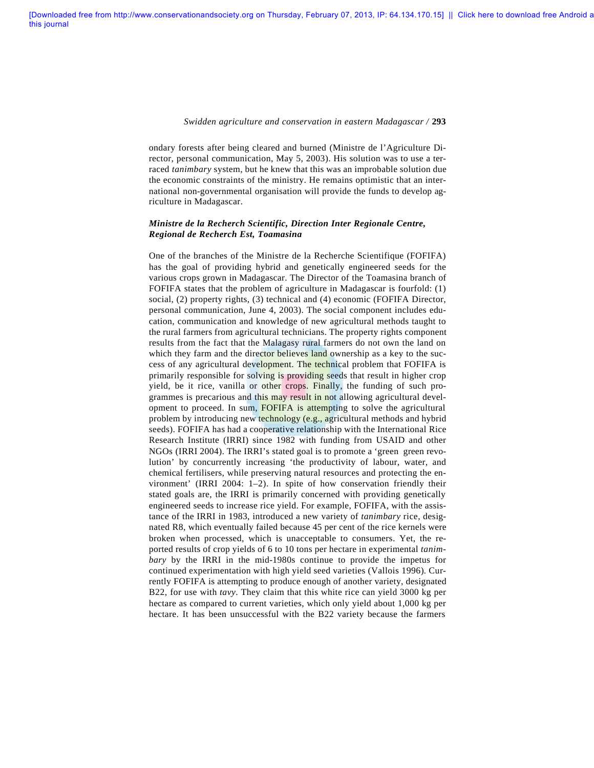ondary forests after being cleared and burned (Ministre de l'Agriculture Director, personal communication, May 5, 2003). His solution was to use a terraced *tanimbary* system, but he knew that this was an improbable solution due the economic constraints of the ministry. He remains optimistic that an international non-governmental organisation will provide the funds to develop agriculture in Madagascar.

## *Ministre de la Recherch Scientific, Direction Inter Regionale Centre, Regional de Recherch Est, Toamasina*

One of the branches of the Ministre de la Recherche Scientifique (FOFIFA) has the goal of providing hybrid and genetically engineered seeds for the various crops grown in Madagascar. The Director of the Toamasina branch of FOFIFA states that the problem of agriculture in Madagascar is fourfold: (1) social, (2) property rights, (3) technical and (4) economic (FOFIFA Director, personal communication, June 4, 2003). The social component includes education, communication and knowledge of new agricultural methods taught to the rural farmers from agricultural technicians. The property rights component results from the fact that the Malagasy rural farmers do not own the land on which they farm and the director believes land ownership as a key to the success of any agricultural development. The technical problem that FOFIFA is primarily responsible for solving is providing seeds that result in higher crop yield, be it rice, vanilla or other crops. Finally, the funding of such programmes is precarious and this may result in not allowing agricultural development to proceed. In sum, FOFIFA is attempting to solve the agricultural problem by introducing new technology (e.g., agricultural methods and hybrid seeds). FOFIFA has had a cooperative relationship with the International Rice Research Institute (IRRI) since 1982 with funding from USAID and other NGOs (IRRI 2004). The IRRI's stated goal is to promote a 'green green revolution' by concurrently increasing 'the productivity of labour, water, and chemical fertilisers, while preserving natural resources and protecting the environment' (IRRI 2004: 1–2). In spite of how conservation friendly their stated goals are, the IRRI is primarily concerned with providing genetically engineered seeds to increase rice yield. For example, FOFIFA, with the assistance of the IRRI in 1983, introduced a new variety of *tanimbary* rice, designated R8, which eventually failed because 45 per cent of the rice kernels were broken when processed, which is unacceptable to consumers. Yet, the reported results of crop yields of 6 to 10 tons per hectare in experimental *tanimbary* by the IRRI in the mid-1980s continue to provide the impetus for continued experimentation with high yield seed varieties (Vallois 1996). Currently FOFIFA is attempting to produce enough of another variety, designated B22, for use with *tavy*. They claim that this white rice can yield 3000 kg per hectare as compared to current varieties, which only yield about 1,000 kg per hectare. It has been unsuccessful with the B22 variety because the farmers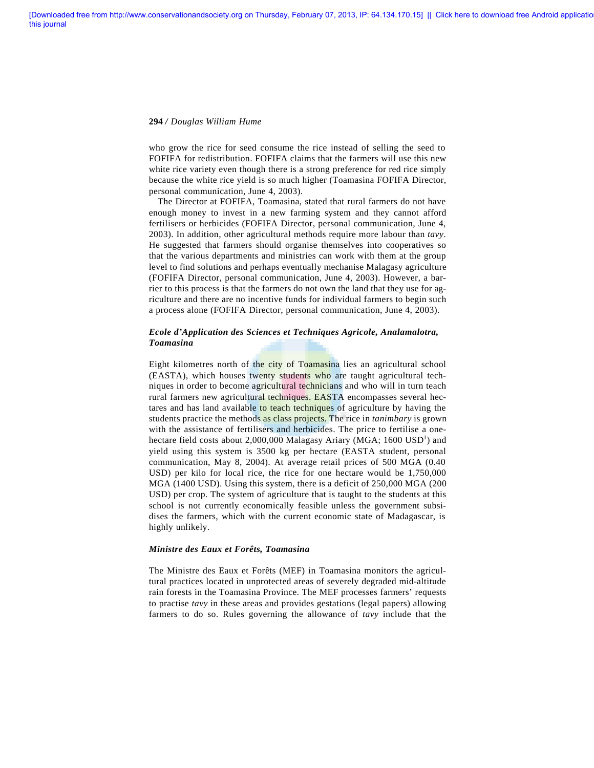who grow the rice for seed consume the rice instead of selling the seed to FOFIFA for redistribution. FOFIFA claims that the farmers will use this new white rice variety even though there is a strong preference for red rice simply because the white rice yield is so much higher (Toamasina FOFIFA Director, personal communication, June 4, 2003).

The Director at FOFIFA, Toamasina, stated that rural farmers do not have enough money to invest in a new farming system and they cannot afford fertilisers or herbicides (FOFIFA Director, personal communication, June 4, 2003). In addition, other agricultural methods require more labour than *tavy*. He suggested that farmers should organise themselves into cooperatives so that the various departments and ministries can work with them at the group level to find solutions and perhaps eventually mechanise Malagasy agriculture (FOFIFA Director, personal communication, June 4, 2003). However, a barrier to this process is that the farmers do not own the land that they use for agriculture and there are no incentive funds for individual farmers to begin such a process alone (FOFIFA Director, personal communication, June 4, 2003).

# *Ecole d'Application des Sciences et Techniques Agricole, Analamalotra, Toamasina*

Eight kilometres north of the city of Toamasina lies an agricultural school (EASTA), which houses twenty students who are taught agricultural techniques in order to become agricultural technicians and who will in turn teach rural farmers new agricultural techniques. EASTA encompasses several hectares and has land available to teach techniques of agriculture by having the students practice the methods as class projects. The rice in *tanimbary* is grown with the assistance of fertilisers and herbicides. The price to fertilise a onehectare field costs about  $2,000,000$  Malagasy Ariary (MGA; 1600 USD<sup>1</sup>) and yield using this system is 3500 kg per hectare (EASTA student, personal communication, May 8, 2004). At average retail prices of 500 MGA (0.40 USD) per kilo for local rice, the rice for one hectare would be 1,750,000 MGA (1400 USD). Using this system, there is a deficit of 250,000 MGA (200 USD) per crop. The system of agriculture that is taught to the students at this school is not currently economically feasible unless the government subsidises the farmers, which with the current economic state of Madagascar, is highly unlikely.

### *Ministre des Eaux et Forêts, Toamasina*

The Ministre des Eaux et Forêts (MEF) in Toamasina monitors the agricultural practices located in unprotected areas of severely degraded mid-altitude rain forests in the Toamasina Province. The MEF processes farmers' requests to practise *tavy* in these areas and provides gestations (legal papers) allowing farmers to do so. Rules governing the allowance of *tavy* include that the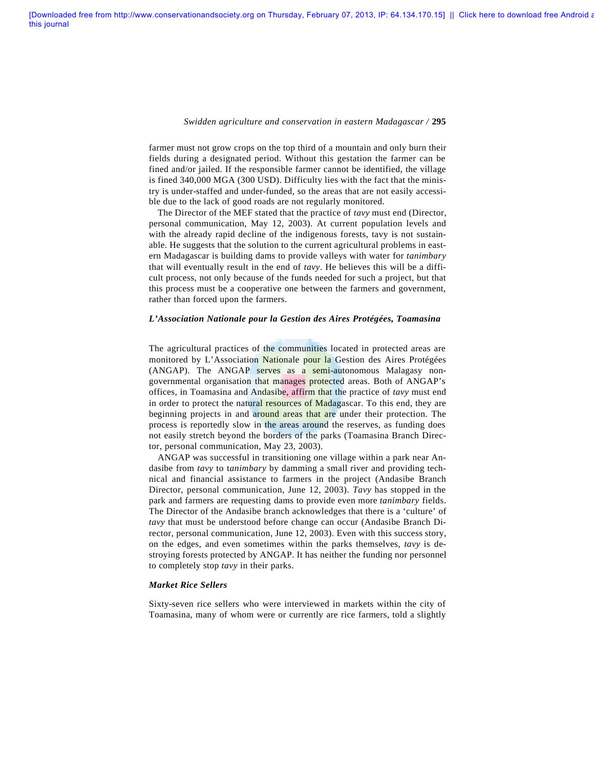farmer must not grow crops on the top third of a mountain and only burn their fields during a designated period. Without this gestation the farmer can be fined and/or jailed. If the responsible farmer cannot be identified, the village is fined 340,000 MGA (300 USD). Difficulty lies with the fact that the ministry is under-staffed and under-funded, so the areas that are not easily accessible due to the lack of good roads are not regularly monitored.

The Director of the MEF stated that the practice of *tavy* must end (Director, personal communication, May 12, 2003). At current population levels and with the already rapid decline of the indigenous forests, tavy is not sustainable. He suggests that the solution to the current agricultural problems in eastern Madagascar is building dams to provide valleys with water for *tanimbary* that will eventually result in the end of *tavy*. He believes this will be a difficult process, not only because of the funds needed for such a project, but that this process must be a cooperative one between the farmers and government, rather than forced upon the farmers.

#### *L'Association Nationale pour la Gestion des Aires Protégées, Toamasina*

The agricultural practices of the communities located in protected areas are monitored by L'Association Nationale pour la Gestion des Aires Protégées (ANGAP). The ANGAP serves as a semi-autonomous Malagasy nongovernmental organisation that manages protected areas. Both of ANGAP's offices, in Toamasina and Andasibe, affirm that the practice of *tavy* must end in order to protect the natural resources of Madagascar. To this end, they are beginning projects in and around areas that are under their protection. The process is reportedly slow in the areas around the reserves, as funding does not easily stretch beyond the borders of the parks (Toamasina Branch Director, personal communication, May 23, 2003).

ANGAP was successful in transitioning one village within a park near Andasibe from *tavy* to t*animbary* by damming a small river and providing technical and financial assistance to farmers in the project (Andasibe Branch Director, personal communication, June 12, 2003). *Tavy* has stopped in the park and farmers are requesting dams to provide even more *tanimbary* fields. The Director of the Andasibe branch acknowledges that there is a 'culture' of *tavy* that must be understood before change can occur (Andasibe Branch Director, personal communication, June 12, 2003). Even with this success story, on the edges, and even sometimes within the parks themselves, *tavy* is destroying forests protected by ANGAP. It has neither the funding nor personnel to completely stop *tavy* in their parks.

#### *Market Rice Sellers*

Sixty-seven rice sellers who were interviewed in markets within the city of Toamasina, many of whom were or currently are rice farmers, told a slightly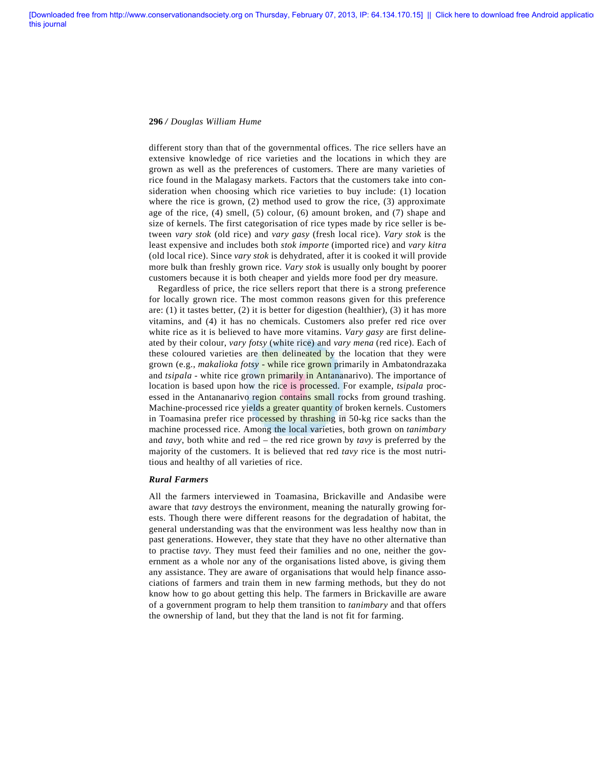different story than that of the governmental offices. The rice sellers have an extensive knowledge of rice varieties and the locations in which they are grown as well as the preferences of customers. There are many varieties of rice found in the Malagasy markets. Factors that the customers take into consideration when choosing which rice varieties to buy include: (1) location where the rice is grown, (2) method used to grow the rice, (3) approximate age of the rice, (4) smell, (5) colour, (6) amount broken, and (7) shape and size of kernels. The first categorisation of rice types made by rice seller is between *vary stok* (old rice) and *vary gasy* (fresh local rice). *Vary stok* is the least expensive and includes both *stok importe* (imported rice) and *vary kitra* (old local rice). Since *vary stok* is dehydrated, after it is cooked it will provide more bulk than freshly grown rice. *Vary stok* is usually only bought by poorer customers because it is both cheaper and yields more food per dry measure.

Regardless of price, the rice sellers report that there is a strong preference for locally grown rice. The most common reasons given for this preference are: (1) it tastes better, (2) it is better for digestion (healthier), (3) it has more vitamins, and (4) it has no chemicals. Customers also prefer red rice over white rice as it is believed to have more vitamins. *Vary gasy* are first delineated by their colour, *vary fotsy* (white rice) and *vary mena* (red rice). Each of these coloured varieties are then delineated by the location that they were grown (e.g., *makalioka fotsy* - while rice grown primarily in Ambatondrazaka and *tsipala* - white rice grown primarily in Antananarivo). The importance of location is based upon how the rice is processed. For example, *tsipala* processed in the Antananarivo region contains small rocks from ground trashing. Machine-processed rice yields a greater quantity of broken kernels. Customers in Toamasina prefer rice processed by thrashing in 50-kg rice sacks than the machine processed rice. Among the local varieties, both grown on *tanimbary* and *tavy*, both white and red – the red rice grown by *tavy* is preferred by the majority of the customers. It is believed that red *tavy* rice is the most nutritious and healthy of all varieties of rice.

### *Rural Farmers*

All the farmers interviewed in Toamasina, Brickaville and Andasibe were aware that *tavy* destroys the environment, meaning the naturally growing forests. Though there were different reasons for the degradation of habitat, the general understanding was that the environment was less healthy now than in past generations. However, they state that they have no other alternative than to practise *tavy*. They must feed their families and no one, neither the government as a whole nor any of the organisations listed above, is giving them any assistance. They are aware of organisations that would help finance associations of farmers and train them in new farming methods, but they do not know how to go about getting this help. The farmers in Brickaville are aware of a government program to help them transition to *tanimbary* and that offers the ownership of land, but they that the land is not fit for farming.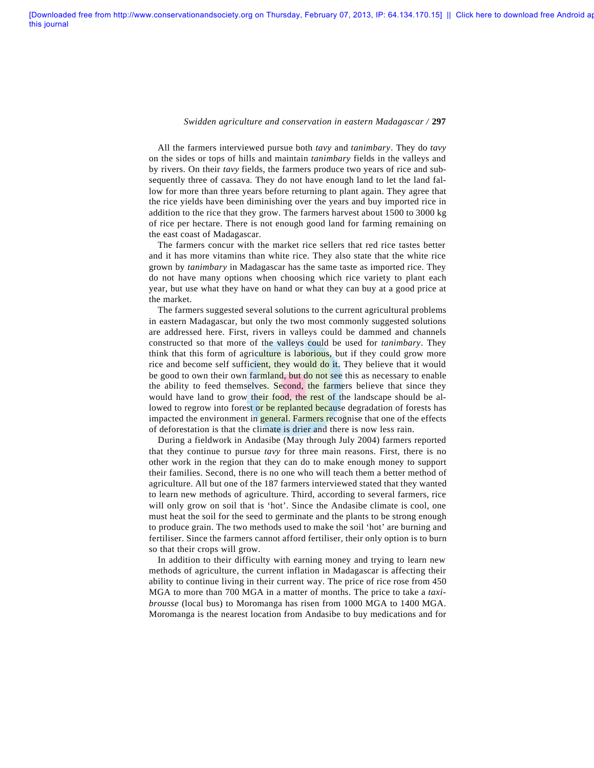All the farmers interviewed pursue both *tavy* and *tanimbary*. They do *tavy* on the sides or tops of hills and maintain *tanimbary* fields in the valleys and by rivers. On their *tavy* fields, the farmers produce two years of rice and subsequently three of cassava. They do not have enough land to let the land fallow for more than three years before returning to plant again. They agree that the rice yields have been diminishing over the years and buy imported rice in addition to the rice that they grow. The farmers harvest about 1500 to 3000 kg of rice per hectare. There is not enough good land for farming remaining on the east coast of Madagascar.

The farmers concur with the market rice sellers that red rice tastes better and it has more vitamins than white rice. They also state that the white rice grown by *tanimbary* in Madagascar has the same taste as imported rice. They do not have many options when choosing which rice variety to plant each year, but use what they have on hand or what they can buy at a good price at the market.

The farmers suggested several solutions to the current agricultural problems in eastern Madagascar, but only the two most commonly suggested solutions are addressed here. First, rivers in valleys could be dammed and channels constructed so that more of the valleys could be used for *tanimbary*. They think that this form of agriculture is laborious, but if they could grow more rice and become self sufficient, they would do it. They believe that it would be good to own their own farmland, but do not see this as necessary to enable the ability to feed themselves. Second, the farmers believe that since they would have land to grow their food, the rest of the landscape should be allowed to regrow into forest or be replanted because degradation of forests has impacted the environment in general. Farmers recognise that one of the effects of deforestation is that the climate is drier and there is now less rain.

During a fieldwork in Andasibe (May through July 2004) farmers reported that they continue to pursue *tavy* for three main reasons. First, there is no other work in the region that they can do to make enough money to support their families. Second, there is no one who will teach them a better method of agriculture. All but one of the 187 farmers interviewed stated that they wanted to learn new methods of agriculture. Third, according to several farmers, rice will only grow on soil that is 'hot'. Since the Andasibe climate is cool, one must heat the soil for the seed to germinate and the plants to be strong enough to produce grain. The two methods used to make the soil 'hot' are burning and fertiliser. Since the farmers cannot afford fertiliser, their only option is to burn so that their crops will grow.

In addition to their difficulty with earning money and trying to learn new methods of agriculture, the current inflation in Madagascar is affecting their ability to continue living in their current way. The price of rice rose from 450 MGA to more than 700 MGA in a matter of months. The price to take a *taxibrousse* (local bus) to Moromanga has risen from 1000 MGA to 1400 MGA. Moromanga is the nearest location from Andasibe to buy medications and for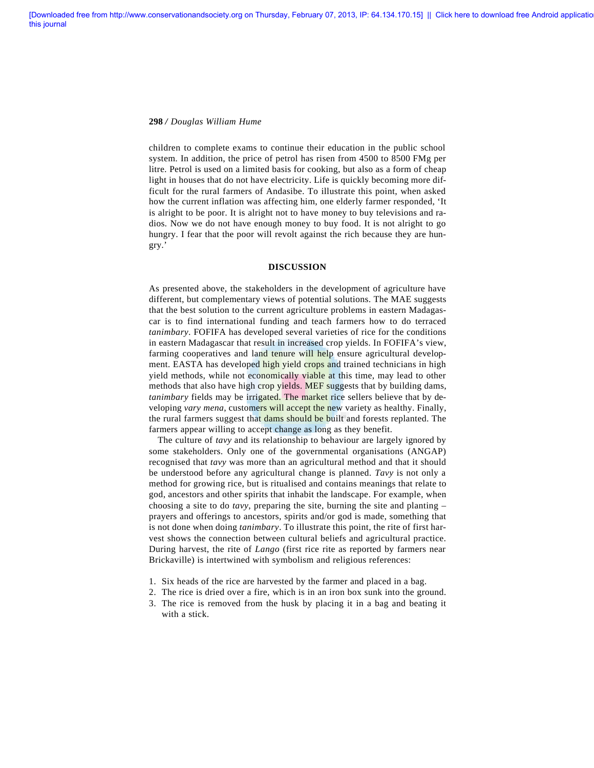children to complete exams to continue their education in the public school system. In addition, the price of petrol has risen from 4500 to 8500 FMg per litre. Petrol is used on a limited basis for cooking, but also as a form of cheap light in houses that do not have electricity. Life is quickly becoming more difficult for the rural farmers of Andasibe. To illustrate this point, when asked how the current inflation was affecting him, one elderly farmer responded, 'It is alright to be poor. It is alright not to have money to buy televisions and radios. Now we do not have enough money to buy food. It is not alright to go hungry. I fear that the poor will revolt against the rich because they are hungry.'

# **DISCUSSION**

As presented above, the stakeholders in the development of agriculture have different, but complementary views of potential solutions. The MAE suggests that the best solution to the current agriculture problems in eastern Madagascar is to find international funding and teach farmers how to do terraced *tanimbary*. FOFIFA has developed several varieties of rice for the conditions in eastern Madagascar that result in increased crop yields. In FOFIFA's view, farming cooperatives and land tenure will help ensure agricultural development. EASTA has developed high yield crops and trained technicians in high yield methods, while not economically viable at this time, may lead to other methods that also have high crop yields. MEF suggests that by building dams, *tanimbary* fields may be irrigated. The market rice sellers believe that by developing *vary mena*, customers will accept the new variety as healthy. Finally, the rural farmers suggest that dams should be built and forests replanted. The farmers appear willing to accept change as long as they benefit.

The culture of *tavy* and its relationship to behaviour are largely ignored by some stakeholders. Only one of the governmental organisations (ANGAP) recognised that *tavy* was more than an agricultural method and that it should be understood before any agricultural change is planned. *Tavy* is not only a method for growing rice, but is ritualised and contains meanings that relate to god, ancestors and other spirits that inhabit the landscape. For example, when choosing a site to do *tavy*, preparing the site, burning the site and planting – prayers and offerings to ancestors, spirits and/or god is made, something that is not done when doing *tanimbary*. To illustrate this point, the rite of first harvest shows the connection between cultural beliefs and agricultural practice. During harvest, the rite of *Lango* (first rice rite as reported by farmers near Brickaville) is intertwined with symbolism and religious references:

- 1. Six heads of the rice are harvested by the farmer and placed in a bag.
- 2. The rice is dried over a fire, which is in an iron box sunk into the ground.
- 3. The rice is removed from the husk by placing it in a bag and beating it with a stick.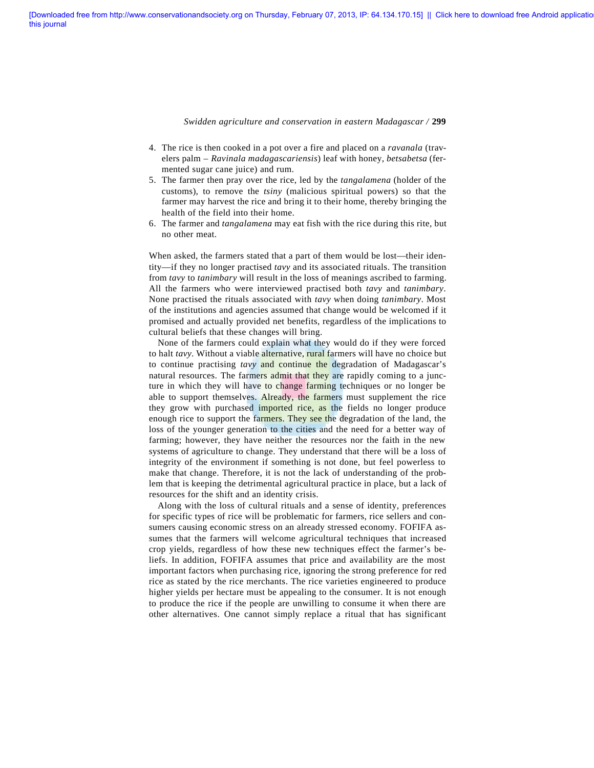- 4. The rice is then cooked in a pot over a fire and placed on a *ravanala* (travelers palm – *Ravinala madagascariensis*) leaf with honey, *betsabetsa* (fermented sugar cane juice) and rum.
- 5. The farmer then pray over the rice, led by the *tangalamena* (holder of the customs), to remove the *tsiny* (malicious spiritual powers) so that the farmer may harvest the rice and bring it to their home, thereby bringing the health of the field into their home.
- 6. The farmer and *tangalamena* may eat fish with the rice during this rite, but no other meat.

When asked, the farmers stated that a part of them would be lost—their identity—if they no longer practised *tavy* and its associated rituals. The transition from *tavy* to *tanimbary* will result in the loss of meanings ascribed to farming. All the farmers who were interviewed practised both *tavy* and *tanimbary*. None practised the rituals associated with *tavy* when doing *tanimbary*. Most of the institutions and agencies assumed that change would be welcomed if it promised and actually provided net benefits, regardless of the implications to cultural beliefs that these changes will bring.

None of the farmers could explain what they would do if they were forced to halt *tavy*. Without a viable alternative, rural farmers will have no choice but to continue practising *tavy* and continue the degradation of Madagascar's natural resources. The farmers admit that they are rapidly coming to a juncture in which they will have to change farming techniques or no longer be able to support themselves. Already, the farmers must supplement the rice they grow with purchased imported rice, as the fields no longer produce enough rice to support the farmers. They see the degradation of the land, the loss of the younger generation to the cities and the need for a better way of farming; however, they have neither the resources nor the faith in the new systems of agriculture to change. They understand that there will be a loss of integrity of the environment if something is not done, but feel powerless to make that change. Therefore, it is not the lack of understanding of the problem that is keeping the detrimental agricultural practice in place, but a lack of resources for the shift and an identity crisis.

Along with the loss of cultural rituals and a sense of identity, preferences for specific types of rice will be problematic for farmers, rice sellers and consumers causing economic stress on an already stressed economy. FOFIFA assumes that the farmers will welcome agricultural techniques that increased crop yields, regardless of how these new techniques effect the farmer's beliefs. In addition, FOFIFA assumes that price and availability are the most important factors when purchasing rice, ignoring the strong preference for red rice as stated by the rice merchants. The rice varieties engineered to produce higher yields per hectare must be appealing to the consumer. It is not enough to produce the rice if the people are unwilling to consume it when there are other alternatives. One cannot simply replace a ritual that has significant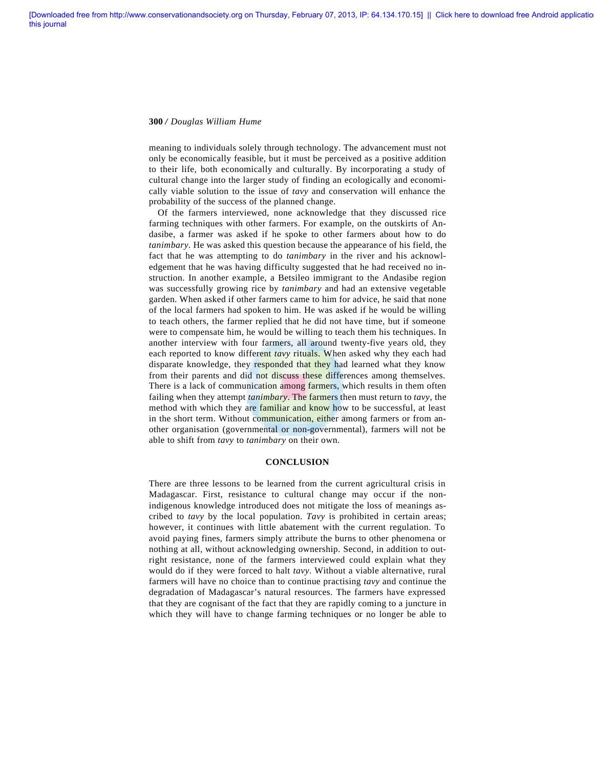meaning to individuals solely through technology. The advancement must not only be economically feasible, but it must be perceived as a positive addition to their life, both economically and culturally. By incorporating a study of cultural change into the larger study of finding an ecologically and economically viable solution to the issue of *tavy* and conservation will enhance the probability of the success of the planned change.

Of the farmers interviewed, none acknowledge that they discussed rice farming techniques with other farmers. For example, on the outskirts of Andasibe, a farmer was asked if he spoke to other farmers about how to do *tanimbary.* He was asked this question because the appearance of his field, the fact that he was attempting to do *tanimbary* in the river and his acknowledgement that he was having difficulty suggested that he had received no instruction. In another example, a Betsileo immigrant to the Andasibe region was successfully growing rice by *tanimbary* and had an extensive vegetable garden. When asked if other farmers came to him for advice, he said that none of the local farmers had spoken to him. He was asked if he would be willing to teach others, the farmer replied that he did not have time, but if someone were to compensate him, he would be willing to teach them his techniques. In another interview with four farmers, all around twenty-five years old, they each reported to know different *tavy* rituals. When asked why they each had disparate knowledge, they responded that they had learned what they know from their parents and did not discuss these differences among themselves. There is a lack of communication among farmers, which results in them often failing when they attempt *tanimbary*. The farmers then must return to *tavy*, the method with which they are familiar and know how to be successful, at least in the short term. Without communication, either among farmers or from another organisation (governmental or non-governmental), farmers will not be able to shift from *tavy* to *tanimbary* on their own.

### **CONCLUSION**

There are three lessons to be learned from the current agricultural crisis in Madagascar. First, resistance to cultural change may occur if the nonindigenous knowledge introduced does not mitigate the loss of meanings ascribed to *tavy* by the local population. *Tavy* is prohibited in certain areas; however, it continues with little abatement with the current regulation. To avoid paying fines, farmers simply attribute the burns to other phenomena or nothing at all, without acknowledging ownership. Second, in addition to outright resistance, none of the farmers interviewed could explain what they would do if they were forced to halt *tavy*. Without a viable alternative, rural farmers will have no choice than to continue practising *tavy* and continue the degradation of Madagascar's natural resources. The farmers have expressed that they are cognisant of the fact that they are rapidly coming to a juncture in which they will have to change farming techniques or no longer be able to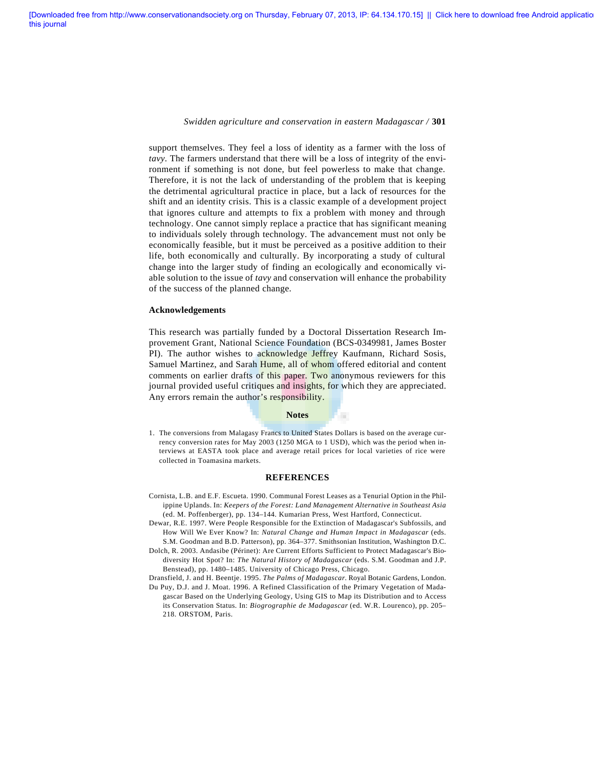support themselves. They feel a loss of identity as a farmer with the loss of *tavy*. The farmers understand that there will be a loss of integrity of the environment if something is not done, but feel powerless to make that change. Therefore, it is not the lack of understanding of the problem that is keeping the detrimental agricultural practice in place, but a lack of resources for the shift and an identity crisis. This is a classic example of a development project that ignores culture and attempts to fix a problem with money and through technology. One cannot simply replace a practice that has significant meaning to individuals solely through technology. The advancement must not only be economically feasible, but it must be perceived as a positive addition to their life, both economically and culturally. By incorporating a study of cultural change into the larger study of finding an ecologically and economically viable solution to the issue of *tavy* and conservation will enhance the probability of the success of the planned change.

#### **Acknowledgements**

This research was partially funded by a Doctoral Dissertation Research Improvement Grant, National Science Foundation (BCS-0349981, James Boster PI). The author wishes to acknowledge Jeffrey Kaufmann, Richard Sosis, Samuel Martinez, and Sarah Hume, all of whom offered editorial and content comments on earlier drafts of this paper. Two anonymous reviewers for this journal provided useful critiques and insights, for which they are appreciated. Any errors remain the author's responsibility.

### **Notes**

п

1. The conversions from Malagasy Francs to United States Dollars is based on the average currency conversion rates for May 2003 (1250 MGA to 1 USD), which was the period when interviews at EASTA took place and average retail prices for local varieties of rice were collected in Toamasina markets.

#### **REFERENCES**

- Cornista, L.B. and E.F. Escueta. 1990. Communal Forest Leases as a Tenurial Option in the Philippine Uplands. In: *Keepers of the Forest: Land Management Alternative in Southeast Asia* (ed. M. Poffenberger), pp. 134–144. Kumarian Press, West Hartford, Connecticut.
- Dewar, R.E. 1997. Were People Responsible for the Extinction of Madagascar's Subfossils, and How Will We Ever Know? In: *Natural Change and Human Impact in Madagascar* (eds. S.M. Goodman and B.D. Patterson), pp. 364–377. Smithsonian Institution, Washington D.C.
- Dolch, R. 2003. Andasibe (Périnet): Are Current Efforts Sufficient to Protect Madagascar's Biodiversity Hot Spot? In: *The Natural History of Madagascar* (eds. S.M. Goodman and J.P. Benstead), pp. 1480–1485. University of Chicago Press, Chicago.

Dransfield, J. and H. Beentje. 1995. *The Palms of Madagascar*. Royal Botanic Gardens, London. Du Puy, D.J. and J. Moat. 1996. A Refined Classification of the Primary Vegetation of Madagascar Based on the Underlying Geology, Using GIS to Map its Distribution and to Access its Conservation Status. In: *Biogrographie de Madagascar* (ed. W.R. Lourenco), pp. 205– 218. ORSTOM, Paris.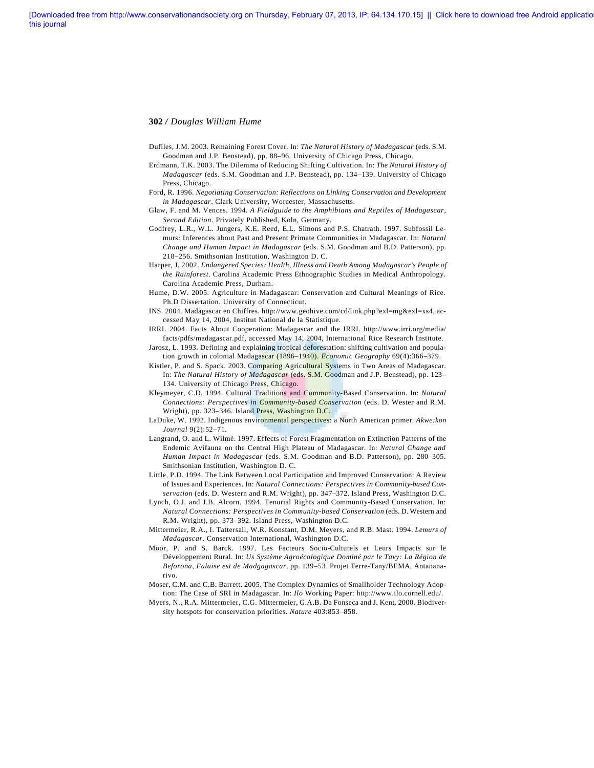- Dufiles, J.M. 2003. Remaining Forest Cover. In: *The Natural History of Madagascar* (eds. S.M. Goodman and J.P. Benstead), pp. 88–96. University of Chicago Press, Chicago.
- Erdmann, T.K. 2003. The Dilemma of Reducing Shifting Cultivation. In: *The Natural History of Madagascar* (eds. S.M. Goodman and J.P. Benstead), pp. 134–139. University of Chicago Press, Chicago.
- Ford, R. 1996. *Negotiating Conservation: Reflections on Linking Conservation and Development in Madagascar*. Clark University, Worcester, Massachusetts.
- Glaw, F. and M. Vences. 1994. *A Fieldguide to the Amphibians and Reptiles of Madagascar*, *Second Edition*. Privately Published, Koln, Germany.
- Godfrey, L.R., W.L. Jungers, K.E. Reed, E.L. Simons and P.S. Chatrath. 1997. Subfossil Lemurs: Inferences about Past and Present Primate Communities in Madagascar. In: *Natural Change and Human Impact in Madagascar* (eds. S.M. Goodman and B.D. Patterson), pp. 218–256. Smithsonian Institution, Washington D. C.
- Harper, J. 2002. *Endangered Species: Health, Illness and Death Among Madagascar's People of the Rainforest*. Carolina Academic Press Ethnographic Studies in Medical Anthropology. Carolina Academic Press, Durham.
- Hume, D.W. 2005. Agriculture in Madagascar: Conservation and Cultural Meanings of Rice. Ph.D Dissertation. University of Connecticut.
- INS. 2004. Madagascar en Chiffres. http://www.geohive.com/cd/link.php?exl=mg&exl=xs4, accessed May 14, 2004, Institut National de la Statistique.
- IRRI. 2004. Facts About Cooperation: Madagascar and the IRRI. http://www.irri.org/media/ facts/pdfs/madagascar.pdf, accessed May 14, 2004, International Rice Research Institute.
- Jarosz, L. 1993. Defining and explaining tropical deforestation: shifting cultivation and population growth in colonial Madagascar (1896–1940). *Economic Geography* 69(4):366–379.
- Kistler, P. and S. Spack. 2003. Comparing Agricultural Systems in Two Areas of Madagascar. In: *The Natural History of Madagascar* (eds. S.M. Goodman and J.P. Benstead), pp. 123– 134. University of Chicago Press, Chicago.
- Kleymeyer, C.D. 1994. Cultural Traditions and Community-Based Conservation. In: *Natural Connections: Perspectives in Community-based Conservation* (eds. D. Wester and R.M. Wright), pp. 323–346. Island Press, Washington D.C.
- LaDuke, W. 1992. Indigenous environmental perspectives: a North American primer. *Akwe:kon Journal* 9(2):52–71.
- Langrand, O. and L. Wilmé. 1997. Effects of Forest Fragmentation on Extinction Patterns of the Endemic Avifauna on the Central High Plateau of Madagascar. In: *Natural Change and Human Impact in Madagascar* (eds. S.M. Goodman and B.D. Patterson), pp. 280–305. Smithsonian Institution, Washington D. C.
- Little, P.D. 1994. The Link Between Local Participation and Improved Conservation: A Review of Issues and Experiences. In: *Natural Connections: Perspectives in Community-based Conservation* (eds. D. Western and R.M. Wright), pp. 347–372. Island Press, Washington D.C.
- Lynch, O.J. and J.B. Alcorn. 1994. Tenurial Rights and Community-Based Conservation. In: *Natural Connections: Perspectives in Community-based Conservation* (eds. D. Western and R.M. Wright), pp. 373–392. Island Press, Washington D.C.
- Mittermeier, R.A., I. Tattersall, W.R. Konstant, D.M. Meyers, and R.B. Mast. 1994. *Lemurs of Madagascar*. Conservation International, Washington D.C.
- Moor, P. and S. Barck. 1997. Les Facteurs Socio-Culturels et Leurs Impacts sur le Développement Rural. In: *Us Système Agroécologique Dominé par le Tavy: La Région de Beforona, Falaise est de Madgagascar*, pp. 139–53. Projet Terre-Tany/BEMA, Antananarivo.
- Moser, C.M. and C.B. Barrett. 2005. The Complex Dynamics of Smallholder Technology Adoption: The Case of SRI in Madagascar. In: *Ilo* Working Paper: http://www.ilo.cornell.edu/.
- Myers, N., R.A. Mittermeier, C.G. Mittermeier, G.A.B. Da Fonseca and J. Kent. 2000. Biodiversity hotspots for conservation priorities. *Nature* 403:853–858.